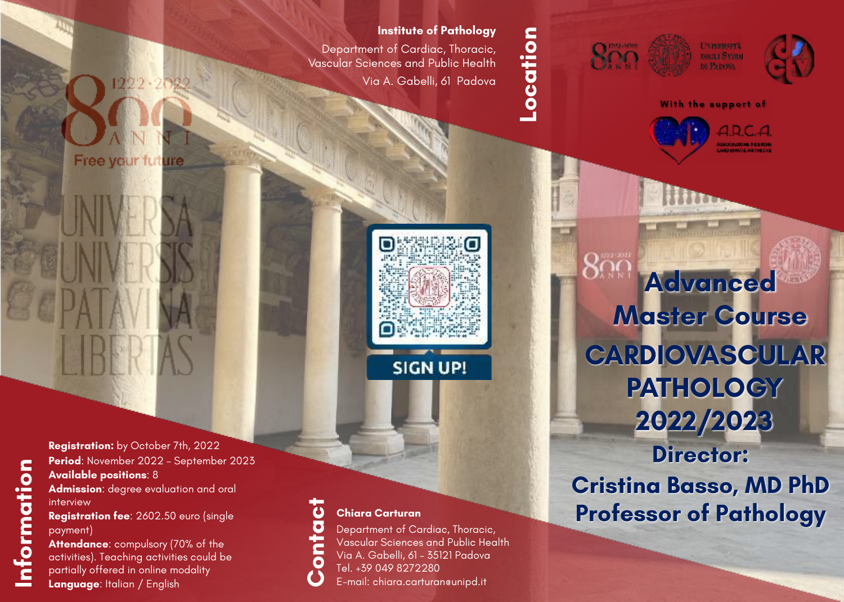## **Institute of Pathology**

Department of Cardiac, Thoracic, Vascular Sciences and Public Health Via A. Gabelli, 61 Padova

## **Location**-ocation







**With the support of**



**2022/2023 Director: Advanced Master Course CARDIOVASCULAR PATHOLOGY**

**Cristina Basso, MD PhD Professor of Pathology**

**Registration:** by October 7th, 2022 **Period**: November 2022 – September 2023 **Available positions**: 8 **Admission**: degree evaluation and oral interview **Registration fee**: 2602.50 euro (single

Free your future

payment)

**Attendance**: compulsory (70% of the activities). Teaching activities could be partially offered in online modality **Language**: Italian / English

## **Chiara Carturan**

Department of Cardiac, Thoracic, Vascular Sciences and Public Health Via A. Gabelli, 61 – 35121 Padova Tel. +39 049 8272280 **Contact** E-mail: chiara.carturan@unipd.it

**SIGN UP!**